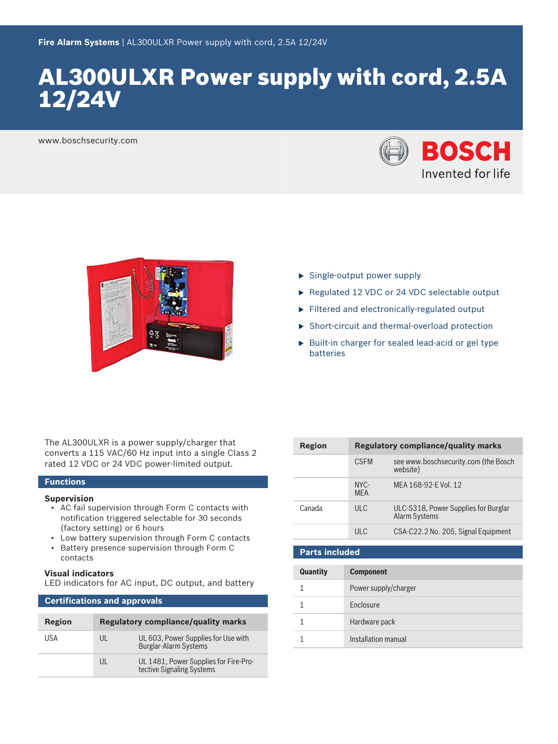# AL300ULXR Power supply with cord, 2.5A 12/24V

www.boschsecurity.com





- $\triangleright$  Single-output power supply
- $\triangleright$  Regulated 12 VDC or 24 VDC selectable output
- $\blacktriangleright$  Filtered and electronically-regulated output
- $\triangleright$  Short-circuit and thermal-overload protection
- $\blacktriangleright$  Built-in charger for sealed lead-acid or gel type batteries

The AL300ULXR is a power supply/charger that converts a 115 VAC/60 Hz input into a single Class 2 rated 12 VDC or 24 VDC power-limited output.

## **Functions**

#### **Supervision**

- AC fail supervision through Form C contacts with notification triggered selectable for 30 seconds (factory setting) or 6 hours
- Low battery supervision through Form C contacts
- Battery presence supervision through Form C contacts

#### **Visual indicators**

LED indicators for AC input, DC output, and battery

## **Certifications and approvals**

| Region | <b>Regulatory compliance/quality marks</b> |                                                                     |
|--------|--------------------------------------------|---------------------------------------------------------------------|
| USA    | UL                                         | UL 603, Power Supplies for Use with<br><b>Burglar-Alarm Systems</b> |
|        | UI                                         | UL 1481, Power Supplies for Fire-Pro-<br>tective Signaling Systems  |

| Region | <b>Regulatory compliance/quality marks</b> |                                                              |
|--------|--------------------------------------------|--------------------------------------------------------------|
|        | <b>CSEM</b>                                | see www.boschsecurity.com (the Bosch<br>website)             |
|        | NYC-<br><b>MFA</b>                         | MFA 168-92-F Vol. 12                                         |
| Canada | ULC                                        | ULC-S318, Power Supplies for Burglar<br><b>Alarm Systems</b> |
|        | ULC                                        | CSA-C22.2 No. 205, Signal Equipment                          |

#### **Parts included**

| Quantity | <b>Component</b>     |
|----------|----------------------|
|          | Power supply/charger |
|          | Enclosure            |
|          | Hardware pack        |
|          | Installation manual  |